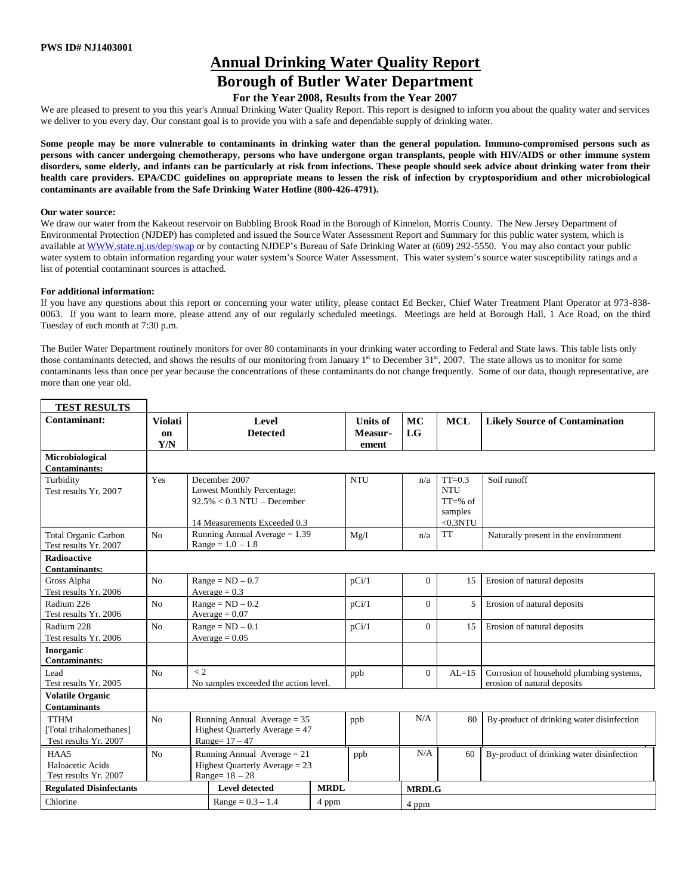# **Annual Drinking Water Quality Report**

# **Borough of Butler Water Department**

## **For the Year 2008, Results from the Year 2007**

We are pleased to present to you this year's Annual Drinking Water Quality Report. This report is designed to inform you about the quality water and services we deliver to you every day. Our constant goal is to provide you with a safe and dependable supply of drinking water.

**Some people may be more vulnerable to contaminants in drinking water than the general population. Immuno-compromised persons such as persons with cancer undergoing chemotherapy, persons who have undergone organ transplants, people with HIV/AIDS or other immune system disorders, some elderly, and infants can be particularly at risk from infections. These people should seek advice about drinking water from their health care providers. EPA/CDC guidelines on appropriate means to lessen the risk of infection by cryptosporidium and other microbiological contaminants are available from the Safe Drinking Water Hotline (800-426-4791).**

#### **Our water source:**

 $\mathbf{I}$ 

We draw our water from the Kakeout reservoir on Bubbling Brook Road in the Borough of Kinnelon, Morris County. The New Jersey Department of Environmental Protection (NJDEP) has completed and issued the Source Water Assessment Report and Summary for this public water system, which is available at WWW.state.nj.us/dep/swap or by contacting NJDEP's Bureau of Safe Drinking Water at (609) 292-5550. You may also contact your public water system to obtain information regarding your water system's Source Water Assessment. This water system's source water susceptibility ratings and a list of potential contaminant sources is attached.

#### **For additional information:**

If you have any questions about this report or concerning your water utility, please contact Ed Becker, Chief Water Treatment Plant Operator at 973-838- 0063. If you want to learn more, please attend any of our regularly scheduled meetings. Meetings are held at Borough Hall, 1 Ace Road, on the third Tuesday of each month at 7:30 p.m.

The Butler Water Department routinely monitors for over 80 contaminants in your drinking water according to Federal and State laws. This table lists only those contaminants detected, and shows the results of our monitoring from January  $1<sup>st</sup>$  to December  $31<sup>st</sup>$ , 2007. The state allows us to monitor for some contaminants less than once per year because the concentrations of these contaminants do not change frequently. Some of our data, though representative, are more than one year old.

| <b>TEST RESULTS</b>                                             |                             |                                                                                       |                                                                                                              |             |                                     |                |                                                                |                                                                         |
|-----------------------------------------------------------------|-----------------------------|---------------------------------------------------------------------------------------|--------------------------------------------------------------------------------------------------------------|-------------|-------------------------------------|----------------|----------------------------------------------------------------|-------------------------------------------------------------------------|
| Contaminant:                                                    | <b>Violati</b><br>on<br>Y/N |                                                                                       | Level<br><b>Detected</b>                                                                                     |             | <b>Units of</b><br>Measur-<br>ement | MC<br>LG       | <b>MCL</b>                                                     | <b>Likely Source of Contamination</b>                                   |
| Microbiological<br><b>Contaminants:</b>                         |                             |                                                                                       |                                                                                                              |             |                                     |                |                                                                |                                                                         |
| Turbidity<br>Test results Yr. 2007                              | Yes                         |                                                                                       | December 2007<br>Lowest Monthly Percentage:<br>$92.5\% < 0.3$ NTU – December<br>14 Measurements Exceeded 0.3 |             | <b>NTU</b>                          | n/a            | $TT=0.3$<br><b>NTU</b><br>$TT = % of$<br>samples<br>$<$ 0.3NTU | Soil runoff                                                             |
| <b>Total Organic Carbon</b><br>Test results Yr. 2007            | No                          | Running Annual Average $= 1.39$<br>$Range = 1.0 - 1.8$                                |                                                                                                              |             | Mg/l                                | n/a            | <b>TT</b>                                                      | Naturally present in the environment                                    |
| <b>Radioactive</b><br><b>Contaminants:</b>                      |                             |                                                                                       |                                                                                                              |             |                                     |                |                                                                |                                                                         |
| Gross Alpha<br>Test results Yr. 2006                            | N <sub>o</sub>              | $Range = ND - 0.7$<br>Average $= 0.3$                                                 |                                                                                                              |             | pCi/1                               | $\overline{0}$ | 15                                                             | Erosion of natural deposits                                             |
| Radium 226<br>Test results Yr. 2006                             | N <sub>o</sub>              | $Range = ND - 0.2$<br>Average $= 0.07$                                                |                                                                                                              |             | pCi/1                               | $\Omega$       | 5                                                              | Erosion of natural deposits                                             |
| Radium 228<br>Test results Yr. 2006                             | No                          | $Range = ND - 0.1$<br>Average = $0.05$                                                |                                                                                                              |             | pCi/1                               | $\Omega$       | 15                                                             | Erosion of natural deposits                                             |
| Inorganic<br>Contaminants:                                      |                             |                                                                                       |                                                                                                              |             |                                     |                |                                                                |                                                                         |
| Lead<br>Test results Yr. 2005                                   | No                          | $\lt 2$<br>No samples exceeded the action level.                                      |                                                                                                              |             | ppb                                 | $\Omega$       | $AL=15$                                                        | Corrosion of household plumbing systems,<br>erosion of natural deposits |
| <b>Volatile Organic</b><br><b>Contaminants</b>                  |                             |                                                                                       |                                                                                                              |             |                                     |                |                                                                |                                                                         |
| <b>TTHM</b><br>[Total trihalomethanes]<br>Test results Yr. 2007 | N <sub>o</sub>              | Running Annual Average $= 35$<br>Highest Ouarterly Average $= 47$<br>Range= $17 - 47$ |                                                                                                              |             | ppb                                 | N/A            | 80                                                             | By-product of drinking water disinfection                               |
| HAA5<br>Haloacetic Acids<br>Test results Yr. 2007               | No                          | Running Annual Average = $21$<br>Highest Quarterly Average = 23<br>Range= $18 - 28$   |                                                                                                              |             | ppb                                 | N/A            | 60                                                             | By-product of drinking water disinfection                               |
| <b>Regulated Disinfectants</b>                                  |                             |                                                                                       | <b>Level detected</b>                                                                                        | <b>MRDL</b> |                                     | <b>MRDLG</b>   |                                                                |                                                                         |
| Chlorine                                                        |                             |                                                                                       | $Range = 0.3 - 1.4$<br>4 ppm                                                                                 |             |                                     | 4 ppm          |                                                                |                                                                         |